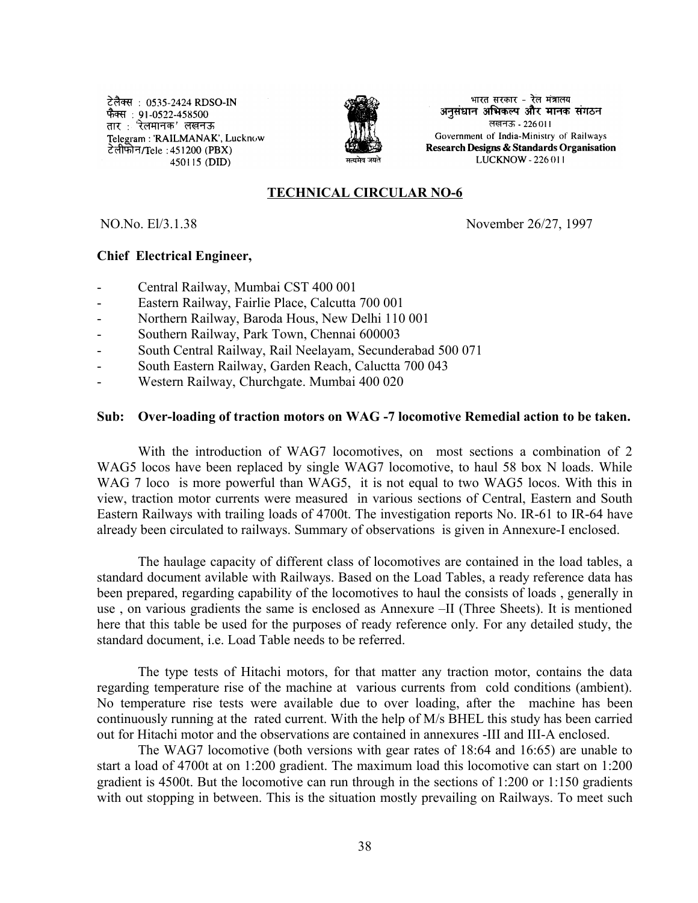टेलैक्स : 0535-2424 RDSO-IN उत्तरतः : ७५५९ = १.३१ १९५०<br>फैक्स : 91-0522-458500<br>तार : 'रेलमानक' लखनऊ Telegram: 'RAILMANAK', Lucknow टेलीफोन/Tele: 451200 (PBX) 450115 (DID)



भारत सरकार - रेल मंत्रालय अनुसंधान अभिकल्प और मानक संगठन लखनऊ - 226011 Government of India-Ministry of Railways Research Designs & Standards Organisation LUCKNOW - 226 011

#### **TECHNICAL CIRCULAR NO-6**

NO.No. El/3.1.38 November 26/27, 1997

#### **Chief Electrical Engineer,**

- Central Railway, Mumbai CST 400 001
- Eastern Railway, Fairlie Place, Calcutta 700 001
- Northern Railway, Baroda Hous, New Delhi 110 001
- Southern Railway, Park Town, Chennai 600003
- South Central Railway, Rail Neelayam, Secunderabad 500 071
- South Eastern Railway, Garden Reach, Caluctta 700 043
- Western Railway, Churchgate. Mumbai 400 020

#### **Sub: Over-loading of traction motors on WAG -7 locomotive Remedial action to be taken.**

With the introduction of WAG7 locomotives, on most sections a combination of 2 WAG5 locos have been replaced by single WAG7 locomotive, to haul 58 box N loads. While WAG 7 loco is more powerful than WAG5, it is not equal to two WAG5 locos. With this in view, traction motor currents were measured in various sections of Central, Eastern and South Eastern Railways with trailing loads of 4700t. The investigation reports No. IR-61 to IR-64 have already been circulated to railways. Summary of observations is given in Annexure-I enclosed.

The haulage capacity of different class of locomotives are contained in the load tables, a standard document avilable with Railways. Based on the Load Tables, a ready reference data has been prepared, regarding capability of the locomotives to haul the consists of loads , generally in use , on various gradients the same is enclosed as Annexure –II (Three Sheets). It is mentioned here that this table be used for the purposes of ready reference only. For any detailed study, the standard document, i.e. Load Table needs to be referred.

The type tests of Hitachi motors, for that matter any traction motor, contains the data regarding temperature rise of the machine at various currents from cold conditions (ambient). No temperature rise tests were available due to over loading, after the machine has been continuously running at the rated current. With the help of M/s BHEL this study has been carried out for Hitachi motor and the observations are contained in annexures -III and III-A enclosed.

The WAG7 locomotive (both versions with gear rates of 18:64 and 16:65) are unable to start a load of 4700t at on 1:200 gradient. The maximum load this locomotive can start on 1:200 gradient is 4500t. But the locomotive can run through in the sections of 1:200 or 1:150 gradients with out stopping in between. This is the situation mostly prevailing on Railways. To meet such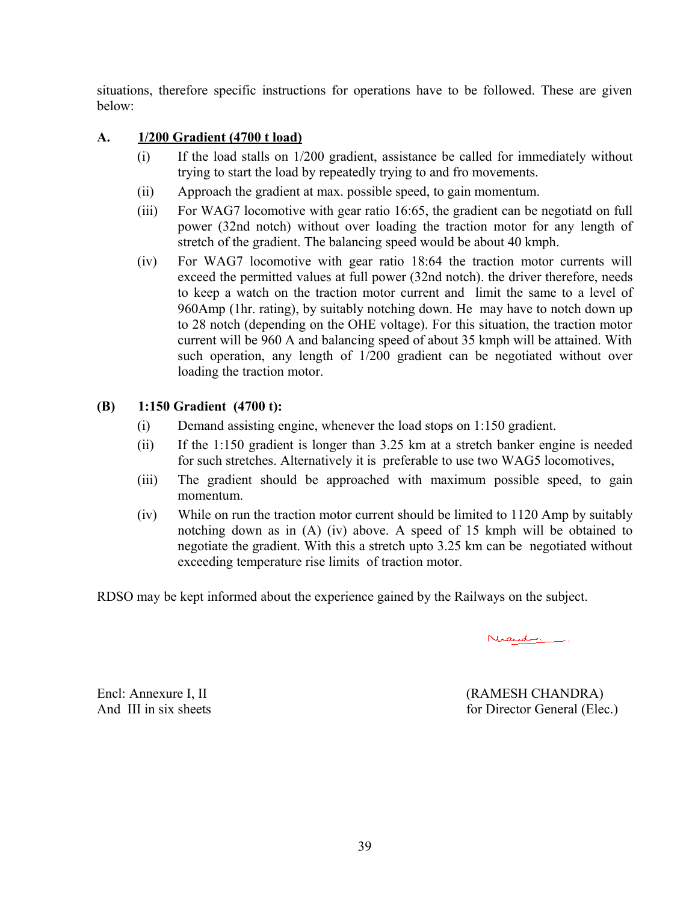situations, therefore specific instructions for operations have to be followed. These are given below:

# **A. 1/200 Gradient (4700 t load)**

- (i) If the load stalls on 1/200 gradient, assistance be called for immediately without trying to start the load by repeatedly trying to and fro movements.
- (ii) Approach the gradient at max. possible speed, to gain momentum.
- (iii) For WAG7 locomotive with gear ratio 16:65, the gradient can be negotiatd on full power (32nd notch) without over loading the traction motor for any length of stretch of the gradient. The balancing speed would be about 40 kmph.
- (iv) For WAG7 locomotive with gear ratio 18:64 the traction motor currents will exceed the permitted values at full power (32nd notch). the driver therefore, needs to keep a watch on the traction motor current and limit the same to a level of 960Amp (1hr. rating), by suitably notching down. He may have to notch down up to 28 notch (depending on the OHE voltage). For this situation, the traction motor current will be 960 A and balancing speed of about 35 kmph will be attained. With such operation, any length of 1/200 gradient can be negotiated without over loading the traction motor.

# **(B) 1:150 Gradient (4700 t):**

- (i) Demand assisting engine, whenever the load stops on 1:150 gradient.
- (ii) If the 1:150 gradient is longer than 3.25 km at a stretch banker engine is needed for such stretches. Alternatively it is preferable to use two WAG5 locomotives,
- (iii) The gradient should be approached with maximum possible speed, to gain momentum.
- (iv) While on run the traction motor current should be limited to 1120 Amp by suitably notching down as in (A) (iv) above. A speed of 15 kmph will be obtained to negotiate the gradient. With this a stretch upto 3.25 km can be negotiated without exceeding temperature rise limits of traction motor.

RDSO may be kept informed about the experience gained by the Railways on the subject.

Nicedie.

Encl: Annexure I, II (RAMESH CHANDRA) And III in six sheets for Director General (Elec.)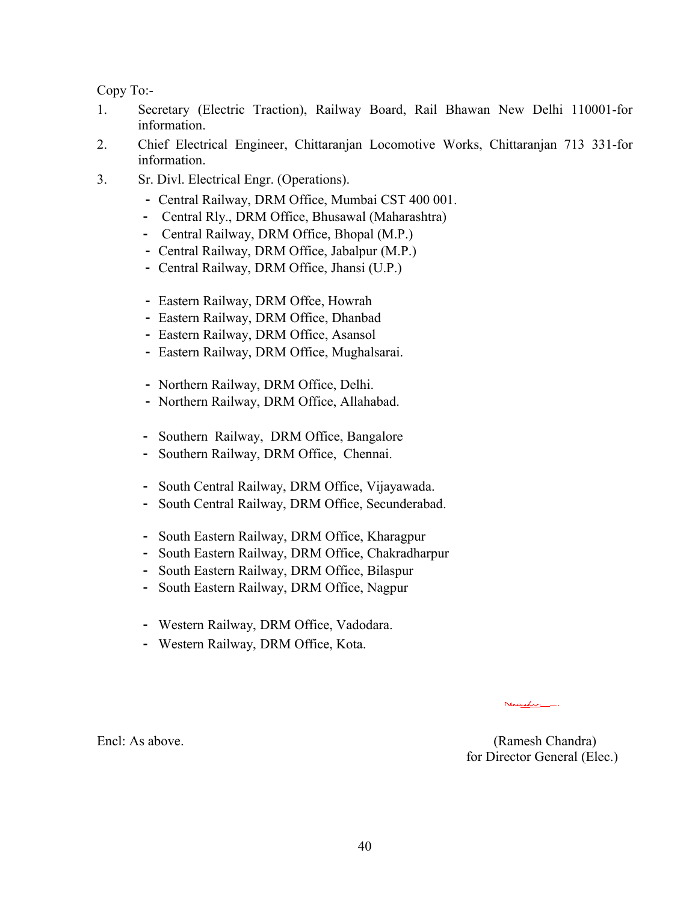Copy To:-

- 1. Secretary (Electric Traction), Railway Board, Rail Bhawan New Delhi 110001-for information.
- 2. Chief Electrical Engineer, Chittaranjan Locomotive Works, Chittaranjan 713 331-for information.
- 3. Sr. Divl. Electrical Engr. (Operations).
	- Central Railway, DRM Office, Mumbai CST 400 001.
	- Central Rly., DRM Office, Bhusawal (Maharashtra)
	- Central Railway, DRM Office, Bhopal (M.P.)
	- Central Railway, DRM Office, Jabalpur (M.P.)
	- Central Railway, DRM Office, Jhansi (U.P.)
	- Eastern Railway, DRM Offce, Howrah
	- Eastern Railway, DRM Office, Dhanbad
	- Eastern Railway, DRM Office, Asansol
	- Eastern Railway, DRM Office, Mughalsarai.
	- Northern Railway, DRM Office, Delhi.
	- Northern Railway, DRM Office, Allahabad.
	- Southern Railway, DRM Office, Bangalore
	- Southern Railway, DRM Office, Chennai.
	- South Central Railway, DRM Office, Vijayawada.
	- South Central Railway, DRM Office, Secunderabad.
	- South Eastern Railway, DRM Office, Kharagpur
	- South Eastern Railway, DRM Office, Chakradharpur
	- South Eastern Railway, DRM Office, Bilaspur
	- South Eastern Railway, DRM Office, Nagpur
	- Western Railway, DRM Office, Vadodara.
	- Western Railway, DRM Office, Kota.

Encl: As above. (Ramesh Chandra) for Director General (Elec.)

Nicede.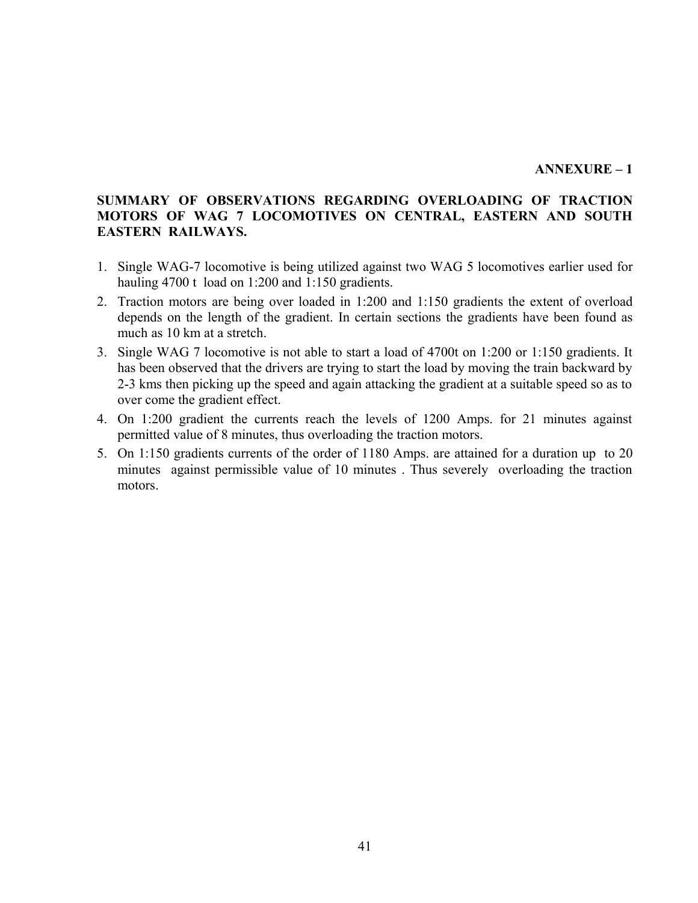#### **ANNEXURE – 1**

### **SUMMARY OF OBSERVATIONS REGARDING OVERLOADING OF TRACTION MOTORS OF WAG 7 LOCOMOTIVES ON CENTRAL, EASTERN AND SOUTH EASTERN RAILWAYS.**

- 1. Single WAG-7 locomotive is being utilized against two WAG 5 locomotives earlier used for hauling 4700 t load on 1:200 and 1:150 gradients.
- 2. Traction motors are being over loaded in 1:200 and 1:150 gradients the extent of overload depends on the length of the gradient. In certain sections the gradients have been found as much as 10 km at a stretch.
- 3. Single WAG 7 locomotive is not able to start a load of 4700t on 1:200 or 1:150 gradients. It has been observed that the drivers are trying to start the load by moving the train backward by 2-3 kms then picking up the speed and again attacking the gradient at a suitable speed so as to over come the gradient effect.
- 4. On 1:200 gradient the currents reach the levels of 1200 Amps. for 21 minutes against permitted value of 8 minutes, thus overloading the traction motors.
- 5. On 1:150 gradients currents of the order of 1180 Amps. are attained for a duration up to 20 minutes against permissible value of 10 minutes . Thus severely overloading the traction motors.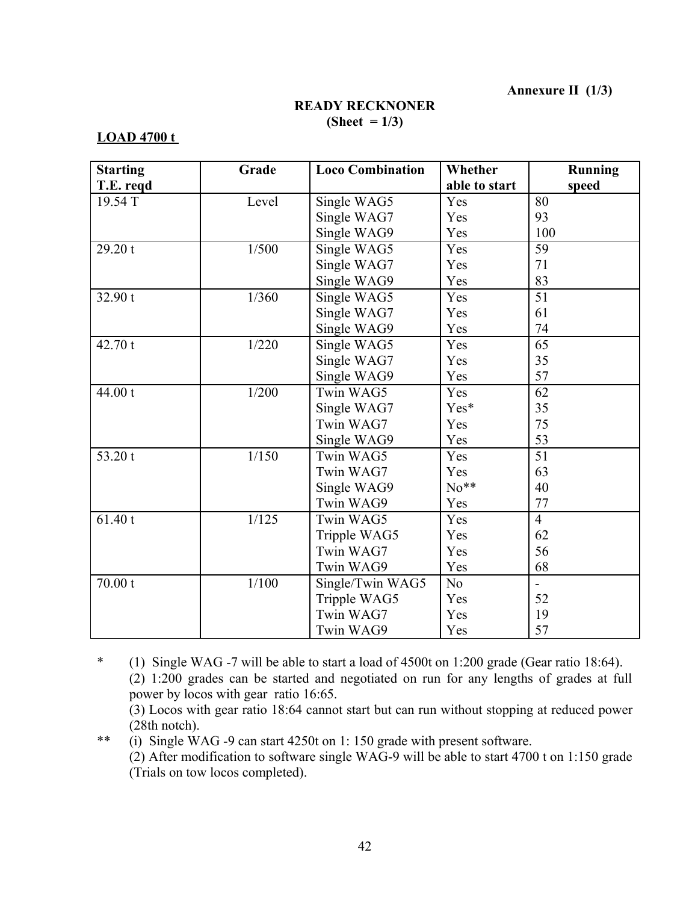**Annexure II (1/3)**

### **READY RECKNONER (Sheet = 1/3)**

#### **LOAD 4700 t**

| <b>Starting</b> | Grade | <b>Loco Combination</b> | Whether        | Running        |
|-----------------|-------|-------------------------|----------------|----------------|
| T.E. reqd       |       |                         | able to start  | speed          |
| 19.54 T         | Level | Single WAG5             | Yes            | 80             |
|                 |       | Single WAG7             | Yes            | 93             |
|                 |       | Single WAG9             | Yes            | 100            |
| 29.20 t         | 1/500 | Single WAG5             | Yes            | 59             |
|                 |       | Single WAG7             | Yes            | 71             |
|                 |       | Single WAG9             | Yes            | 83             |
| 32.90 t         | 1/360 | Single WAG5             | Yes            | 51             |
|                 |       | Single WAG7             | Yes            | 61             |
|                 |       | Single WAG9             | Yes            | 74             |
| 42.70 t         | 1/220 | Single WAG5             | Yes            | 65             |
|                 |       | Single WAG7             | Yes            | 35             |
|                 |       | Single WAG9             | Yes            | 57             |
| 44.00 t         | 1/200 | Twin WAG5               | Yes            | 62             |
|                 |       | Single WAG7             | Yes*           | 35             |
|                 |       | Twin WAG7               | Yes            | 75             |
|                 |       | Single WAG9             | Yes            | 53             |
| 53.20 t         | 1/150 | Twin WAG5               | Yes            | 51             |
|                 |       | Twin WAG7               | Yes            | 63             |
|                 |       | Single WAG9             | $No**$         | 40             |
|                 |       | Twin WAG9               | Yes            | 77             |
| 61.40 t         | 1/125 | Twin WAG5               | Yes            | $\overline{4}$ |
|                 |       | Tripple WAG5            | Yes            | 62             |
|                 |       | Twin WAG7               | Yes            | 56             |
|                 |       | Twin WAG9               | Yes            | 68             |
| 70.00 t         | 1/100 | Single/Twin WAG5        | N <sub>o</sub> | $\sim$         |
|                 |       | Tripple WAG5            | Yes            | 52             |
|                 |       | Twin WAG7               | Yes            | 19             |
|                 |       | Twin WAG9               | Yes            | 57             |

\* (1) Single WAG -7 will be able to start a load of 4500t on 1:200 grade (Gear ratio 18:64). (2) 1:200 grades can be started and negotiated on run for any lengths of grades at full power by locos with gear ratio 16:65.

(3) Locos with gear ratio 18:64 cannot start but can run without stopping at reduced power (28th notch).

\*\* (i) Single WAG -9 can start 4250t on 1: 150 grade with present software. (2) After modification to software single WAG-9 will be able to start 4700 t on 1:150 grade (Trials on tow locos completed).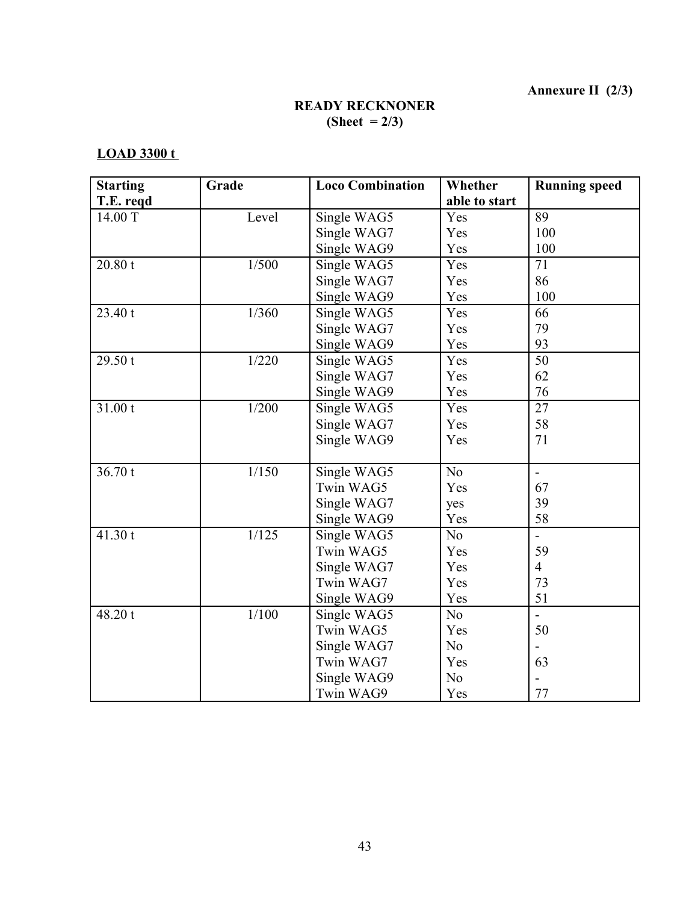**Annexure II (2/3)**

# **READY RECKNONER (Sheet = 2/3)**

# **LOAD 3300 t**

| <b>Starting</b> | Grade | <b>Loco Combination</b> | Whether        | <b>Running speed</b>     |
|-----------------|-------|-------------------------|----------------|--------------------------|
| T.E. reqd       |       |                         | able to start  |                          |
| 14.00 T         | Level | Single WAG5             | Yes            | 89                       |
|                 |       | Single WAG7             | Yes            | 100                      |
|                 |       | Single WAG9             | Yes            | 100                      |
| 20.80 t         | 1/500 | Single WAG5             | Yes            | 71                       |
|                 |       | Single WAG7             | Yes            | 86                       |
|                 |       | Single WAG9             | Yes            | 100                      |
| 23.40 t         | 1/360 | Single WAG5             | Yes            | 66                       |
|                 |       | Single WAG7             | Yes            | 79                       |
|                 |       | Single WAG9             | Yes            | 93                       |
| 29.50t          | 1/220 | Single WAG5             | Yes            | 50                       |
|                 |       | Single WAG7             | Yes            | 62                       |
|                 |       | Single WAG9             | Yes            | 76                       |
| 31.00 t         | 1/200 | Single WAG5             | Yes            | 27                       |
|                 |       | Single WAG7             | Yes            | 58                       |
|                 |       | Single WAG9             | Yes            | 71                       |
|                 |       |                         |                |                          |
| 36.70t          | 1/150 | Single WAG5             | N <sub>o</sub> | $\overline{\phantom{0}}$ |
|                 |       | Twin WAG5               | Yes            | 67                       |
|                 |       | Single WAG7             | yes            | 39                       |
|                 |       | Single WAG9             | Yes            | 58                       |
| 41.30 t         | 1/125 | Single WAG5             | N <sub>o</sub> |                          |
|                 |       | Twin WAG5               | Yes            | 59                       |
|                 |       | Single WAG7             | Yes            | $\overline{4}$           |
|                 |       | Twin WAG7               | Yes            | 73                       |
|                 |       | Single WAG9             | Yes            | 51                       |
| 48.20 t         | 1/100 | Single WAG5             | N <sub>o</sub> | $\overline{a}$           |
|                 |       | Twin WAG5               | Yes            | 50                       |
|                 |       | Single WAG7             | N <sub>o</sub> |                          |
|                 |       | Twin WAG7               | Yes            | 63                       |
|                 |       | Single WAG9             | N <sub>o</sub> |                          |
|                 |       | Twin WAG9               | Yes            | 77                       |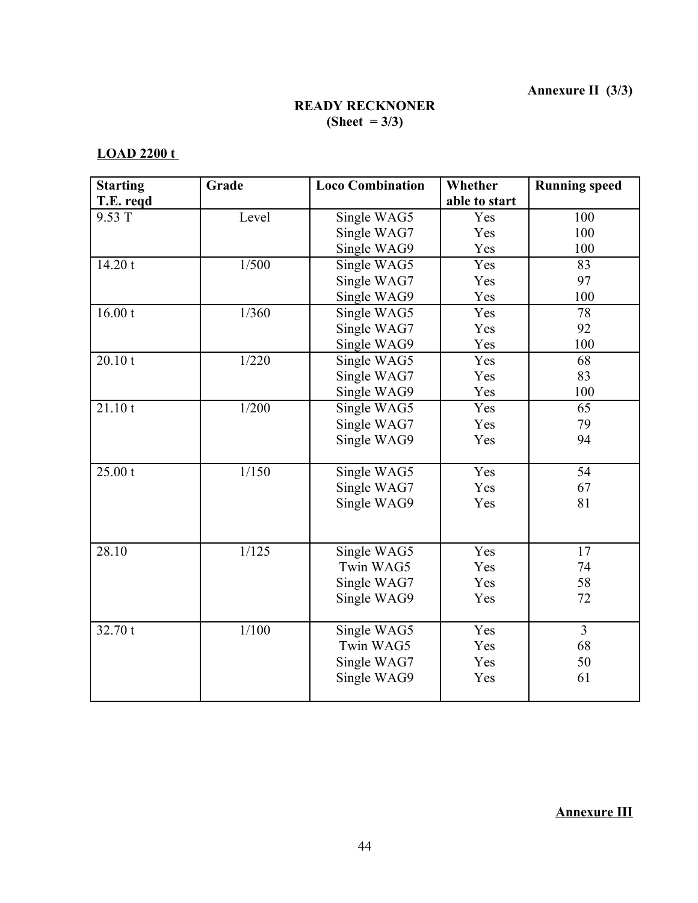# **READY RECKNONER (Sheet = 3/3)**

# **LOAD 2200 t**

| <b>Starting</b> | Grade   | <b>Loco Combination</b> | Whether       | <b>Running speed</b> |  |
|-----------------|---------|-------------------------|---------------|----------------------|--|
| T.E. regd       |         |                         | able to start |                      |  |
| 9.53 T          | Level   | Single WAG5             | Yes           | 100                  |  |
|                 |         | Single WAG7             | Yes           | 100                  |  |
|                 |         | Single WAG9             | Yes           | 100                  |  |
| 14.20 t         | $1/500$ | Single WAG5             | Yes           | 83                   |  |
|                 |         | Single WAG7             | Yes           | 97                   |  |
|                 |         | Single WAG9             | Yes           | 100                  |  |
| 16.00 t         | 1/360   | Single WAG5             | Yes           | 78                   |  |
|                 |         | Single WAG7             | Yes           | 92                   |  |
|                 |         | Single WAG9             | Yes           | 100                  |  |
| 20.10 t         | 1/220   | Single WAG5             | Yes           | 68                   |  |
|                 |         | Single WAG7             | Yes           | 83                   |  |
|                 |         | Single WAG9             | Yes           | 100                  |  |
| 21.10 t         | 1/200   | Single WAG5             | Yes           | 65                   |  |
|                 |         | Single WAG7             | Yes           | 79                   |  |
|                 |         | Single WAG9             | Yes           | 94                   |  |
|                 |         |                         |               |                      |  |
| 25.00 t         | 1/150   | Single WAG5             | Yes           | 54                   |  |
|                 |         | Single WAG7             | Yes           | 67                   |  |
|                 |         | Single WAG9             | Yes           | 81                   |  |
|                 |         |                         |               |                      |  |
| 28.10           | 1/125   | Single WAG5             | Yes           | 17                   |  |
|                 |         | Twin WAG5               | Yes           | 74                   |  |
|                 |         | Single WAG7             | Yes           | 58                   |  |
|                 |         | Single WAG9             | Yes           | 72                   |  |
|                 |         |                         |               |                      |  |
| 32.70 t         | 1/100   | Single WAG5             | Yes           | $\overline{3}$       |  |
|                 |         | Twin WAG5               | Yes           | 68                   |  |
|                 |         | Single WAG7             | Yes           | 50                   |  |
|                 |         | Single WAG9             | Yes           | 61                   |  |
|                 |         |                         |               |                      |  |

**Annexure III**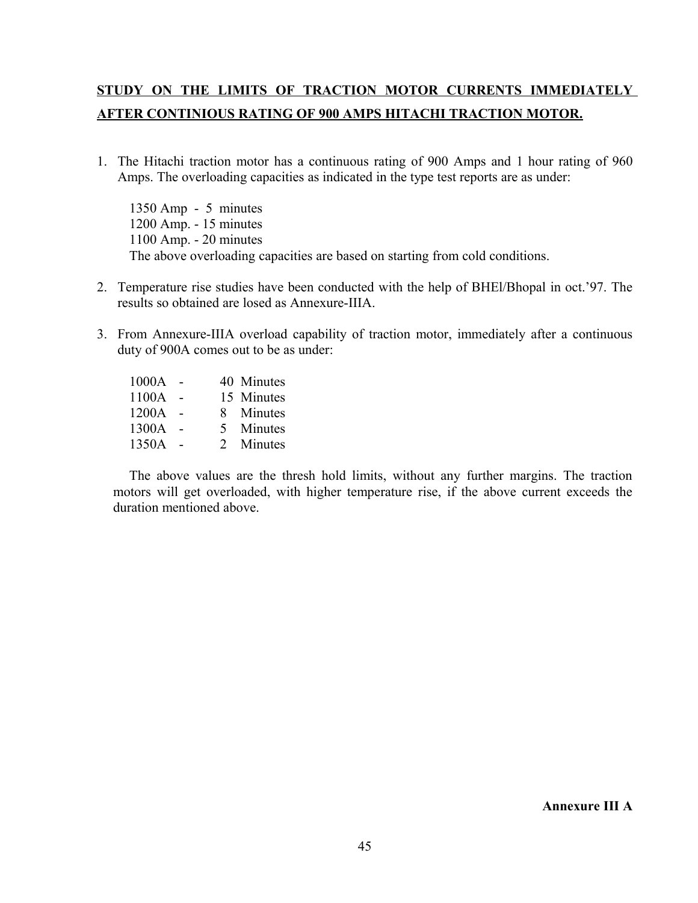# **STUDY ON THE LIMITS OF TRACTION MOTOR CURRENTS IMMEDIATELY AFTER CONTINIOUS RATING OF 900 AMPS HITACHI TRACTION MOTOR.**

1. The Hitachi traction motor has a continuous rating of 900 Amps and 1 hour rating of 960 Amps. The overloading capacities as indicated in the type test reports are as under:

1350 Amp - 5 minutes 1200 Amp. - 15 minutes 1100 Amp. - 20 minutes The above overloading capacities are based on starting from cold conditions.

- 2. Temperature rise studies have been conducted with the help of BHEl/Bhopal in oct.'97. The results so obtained are losed as Annexure-IIIA.
- 3. From Annexure-IIIA overload capability of traction motor, immediately after a continuous duty of 900A comes out to be as under:

1000A - 40 Minutes 1100A - 15 Minutes 1200A - 8 Minutes 1300A - 5 Minutes 1350A - 2 Minutes

The above values are the thresh hold limits, without any further margins. The traction motors will get overloaded, with higher temperature rise, if the above current exceeds the duration mentioned above.